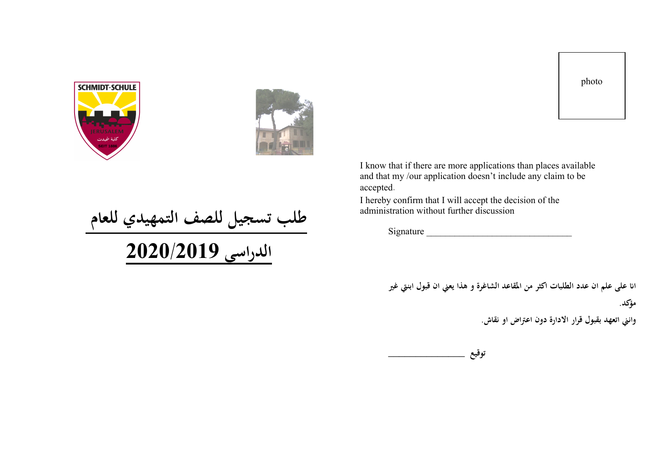photo



I hereby confirm that I will accept the decision of the administration without further discussion

Signature

انا على علم ان عدد الطلبات اكثر من المقاعد الشاغرة و هذا يعني ان قبول ابنتي غير **مؤكد .** 

وانني اتعهد بقبول قرار الادارة دون اعتراض او نقاش.

**\_\_\_\_\_\_\_\_\_\_\_\_\_\_ عيقوت**





طلب تسجيل للصف التمهيدي للعام <mark>الدراسي 2020/2019</mark>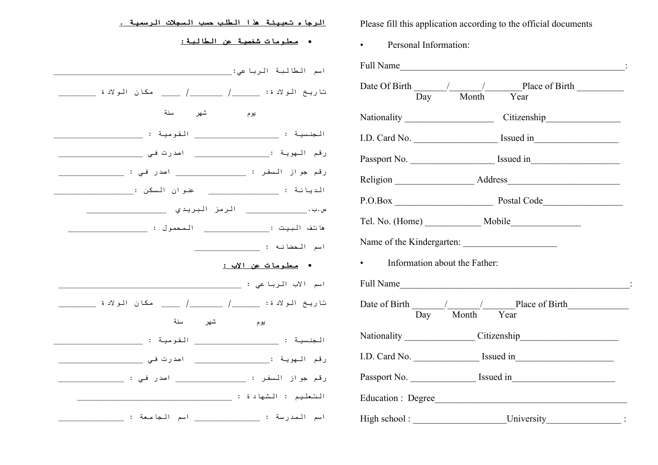| <u>الرجاء تعبينة هذا الطلب حسب السجلات الرسمية .</u>                                                 | Please fill this application according to the official documents                                                                                                                                                               |  |  |
|------------------------------------------------------------------------------------------------------|--------------------------------------------------------------------------------------------------------------------------------------------------------------------------------------------------------------------------------|--|--|
| • <u>معلومات شخصية عن الطالبة:</u>                                                                   | Personal Information:<br>$\bullet$                                                                                                                                                                                             |  |  |
| اسم الطالبة الرباعي:                                                                                 | Full Name in the contract of the contract of the contract of the contract of the contract of the contract of the contract of the contract of the contract of the contract of the contract of the contract of the contract of t |  |  |
| تاريخ الولادة: ______/ ______/ _____ مكان الولادة ______                                             | Date Of Birth / / Place of Birth<br>Month<br>Day<br>Year                                                                                                                                                                       |  |  |
| سنة<br>شهر<br>يوم                                                                                    | Nationality Citizenship                                                                                                                                                                                                        |  |  |
| الجنسية : التقومية : القومية :                                                                       |                                                                                                                                                                                                                                |  |  |
|                                                                                                      | Passport No. Saved in Section 1 Section 1 Section 1 Section 1 Section 1 Section 1 Section 1 Section 1 Section 1 Section 1 Section 1 Section 1 Section 1 Section 1 Section 1 Section 1 Section 1 Section 1 Section 1 Section 1  |  |  |
|                                                                                                      |                                                                                                                                                                                                                                |  |  |
|                                                                                                      | P.O.Box Postal Code                                                                                                                                                                                                            |  |  |
|                                                                                                      |                                                                                                                                                                                                                                |  |  |
| هاتف البيت :                                 المحمول :                                               | Tel. No. (Home) Mobile                                                                                                                                                                                                         |  |  |
| اسم المحضانه :                                                                                       | Name of the Kindergarten:                                                                                                                                                                                                      |  |  |
| • <u>معلومات عن الاب :</u>                                                                           | Information about the Father:                                                                                                                                                                                                  |  |  |
| اسم الأب الرباعي :                                                                                   | Full Name                                                                                                                                                                                                                      |  |  |
|                                                                                                      | Date of Birth / / Place of Birth                                                                                                                                                                                               |  |  |
| سنة<br>شهر<br>يوم                                                                                    | Day<br>Month<br>Year                                                                                                                                                                                                           |  |  |
| الجنسية : التقومية : القومية :                                                                       | Nationality Citizenship                                                                                                                                                                                                        |  |  |
| رقم الـهويـة :                               اصدرت فـي                                               |                                                                                                                                                                                                                                |  |  |
|                                                                                                      |                                                                                                                                                                                                                                |  |  |
| التعليم : الشهادة : الشادة : الشهادة : الشهادة : الشهادة : الشهادة : الشهادة : الشهادة : الشهادة : ا | Education: Degree                                                                                                                                                                                                              |  |  |
| اسم المدرسة : _______________ اسم الـجامعة : ________                                                | High school: University :                                                                                                                                                                                                      |  |  |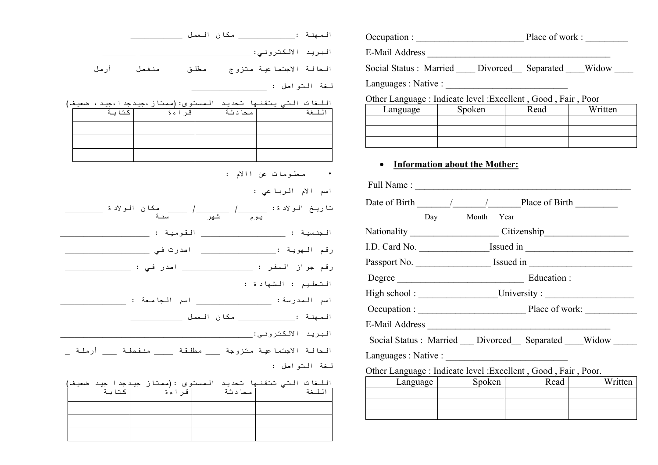|  |  | الحالة الاجتماعية متزوج ____ مطلق _____ منفصل ____ أرمل ____                                                        |
|--|--|---------------------------------------------------------------------------------------------------------------------|
|  |  |                                                                                                                     |
|  |  | اللغات التي يتقنها تحديد الممستوى:(ممتاز ،جيدجد ا ،جيد ، ضعيف)<br> محادثة    فراءة   كتابة   مسلمة   معادية   كتابة |
|  |  |                                                                                                                     |
|  |  |                                                                                                                     |
|  |  |                                                                                                                     |
|  |  | · معلومات عن اللام :                                                                                                |
|  |  |                                                                                                                     |
|  |  |                                                                                                                     |
|  |  |                                                                                                                     |
|  |  | رقم الـهويـة :______________________ اصدرت فـي ____________                                                         |
|  |  | رقم جواز السفر : __________________ اصدر في : _________                                                             |
|  |  |                                                                                                                     |
|  |  | اسم المدرسة: ______________________ اسم الجامعة : ___                                                               |
|  |  |                                                                                                                     |
|  |  |                                                                                                                     |
|  |  | الحالة الاجتماعية متزوجة ____ مطلقة _____ منفصلة ____ أرملة _                                                       |
|  |  |                                                                                                                     |
|  |  | اللغات التي تتقنها تحديد الممستوى :(ممتاز جيدجدا جيد ضعيف)<br> محادثة   قراءة   كتابة                               |

| الممها         |                                                                |  |  |  |  |  |
|----------------|----------------------------------------------------------------|--|--|--|--|--|
| البر           |                                                                |  |  |  |  |  |
| الحا           | Social Status : Married Divorced Separated Widow               |  |  |  |  |  |
| لمغة           |                                                                |  |  |  |  |  |
| اللغ<br>الل    | Other Language : Indicate level : Excellent, Good, Fair, Poor  |  |  |  |  |  |
|                | Written<br>Spoken<br>Read<br>Language                          |  |  |  |  |  |
|                |                                                                |  |  |  |  |  |
|                |                                                                |  |  |  |  |  |
|                | <b>Information about the Mother:</b>                           |  |  |  |  |  |
| ا سم           |                                                                |  |  |  |  |  |
| تا ریہ         | Date of Birth 1 / Place of Birth                               |  |  |  |  |  |
|                | Day Month Year                                                 |  |  |  |  |  |
| الجنا          | Nationality Citizenship                                        |  |  |  |  |  |
| رقم            |                                                                |  |  |  |  |  |
| رقم .          |                                                                |  |  |  |  |  |
| المشعا         | Degree Education:                                              |  |  |  |  |  |
| ا سم           |                                                                |  |  |  |  |  |
| المصها         |                                                                |  |  |  |  |  |
| البر           |                                                                |  |  |  |  |  |
| الحا           | Social Status : Married Divorced Separated Widow               |  |  |  |  |  |
|                | Languages : Native :                                           |  |  |  |  |  |
| لمغة           | Other Language : Indicate level : Excellent, Good, Fair, Poor. |  |  |  |  |  |
| $\frac{1}{11}$ | Written<br>Spoken<br>Read<br>Language                          |  |  |  |  |  |
|                |                                                                |  |  |  |  |  |
|                |                                                                |  |  |  |  |  |